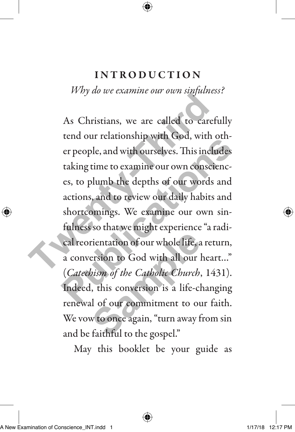## INTRODUCTION

*Why do we examine our own sinfulness?* 

As Christians, we are called to carefully tend our relationship with God, with other people, and with ourselves. This includes taking time to examine our own consciences, to plumb the depths of our words and actions, and to review our daily habits and shortcomings. We examine our own sinfulness so that we might experience "a radical reorientation of our whole life, a return, a conversion to God with all our heart…" (*Catechism of the Catholic Church*, 1431). Indeed, this conversion is a life-changing renewal of our commitment to our faith. We vow to once again, "turn away from sin and be faithful to the gospel." As Christians, we are called to careful<br>tend our relationship with God, with c<br>er people, and with ourselves. This inclu<br>taking time to examine our own conscie<br>es, to plumb the depths of our words :<br>actions, and to review example, and with ourselves. This includes<br>taking time to examine our own consciences, to plumb the depths of our words and<br>actions, and to review our daily habits and<br>actions, and to review our daily habits and<br>shortcomin rientation of our whole life, a<br>ersion to God with all our l<br>bism of the Catholic Church,<br>, this conversion is a life-cl<br>l of our commitment to ou<br>w to once again, "turn away f<br>faithful to the gospel."

May this booklet be your guide as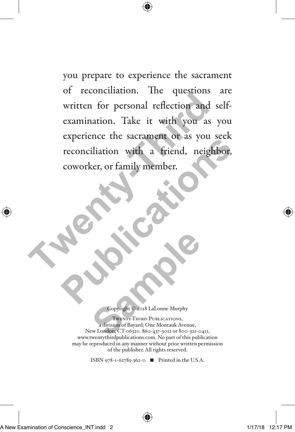you prepare to experience the sacrament of reconciliation. The questions are written for personal reflection and selfexamination. Take it with you as you experience the sacrament or as you seek reconciliation with a friend, neighbor, coworker, or family member. written for personal reflection and s<br>examination. Take it with you as reconciliation with a friend, neight<br>coworker, or family member. Publication with a friend, neighbor, coworker, or family member.

Copyright © 2018 LaLonne Murphy

Twenty-Third Publications a division of Bayard; One Montauk Avenue, New London, CT 06320. 860-437-3012 or 800-321-0411, www.twentythirdpublications.com. No part of this publication may be reproduced in any manner without prior written permission of the publisher. All rights reserved. **Sample Control Control Control Control Control Control Control Control Control Control Control Control Control Control Control Control Control Control Control Control Control Control Control Control Control Control Contro** 

ISBN 978-1-62785-362-0  $\blacksquare$  Printed in the U.S.A.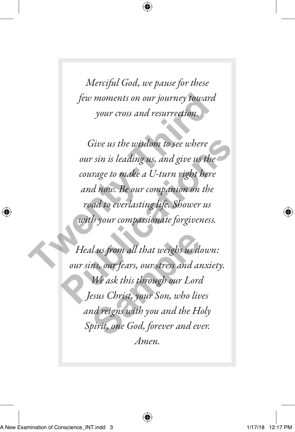*Merciful God, we pause for these few moments on our journey toward your cross and resurrection.*

*Give us the wisdom to see where our sin is leading us, and give us the courage to make a U-turn right here and now. Be our companion on the road to everlasting life. Shower us with your compassionate forgiveness.*  few moments on our journey toward<br>your cross and resurrection.<br>Give us the wisdom to see where<br>our sin is leading us, and give us the<br>courage to make a U-turn right here<br>and now. Be our companion on the<br>road to everlasting Give us the wisdom to see where<br>
our sin is leading us, and give us the<br>
courage to make a U-turn right here<br>
and now. Be our companion on the<br>
road to everlasting life. Shower us<br>
with your compassionate forgiveness.<br>
Hea

*Heal us from all that weighs us down: our sins, our fears, our stress and anxiety. We ask this through our Lord Jesus Christ, your Son, who lives and reigns with you and the Holy Spirit, one God, forever and ever. Amen.* l us from all that weighs us do<br>ns, our fears, our stress and ar<br>We ask this through our Lora<br>esus Christ, your Son, who liv<br>nd reigns with you and the Ho<br>pirit, one God, forever and ev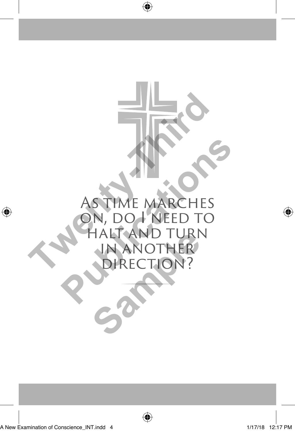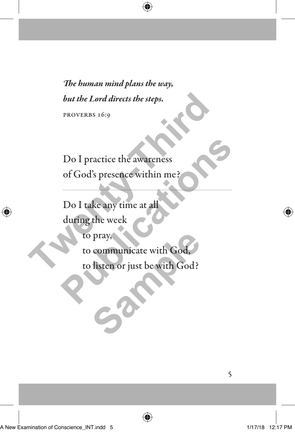*The human mind plans the way, but the Lord directs the steps.*  proverbs 16:9

Do I practice the awareness of God's presence within me?

Do I take any time at all during the week to pray, to communicate with God, to listen or just be with God? but the Lord directs the steps.<br>
PROVERBS 16:9<br>
DO I practice the awareness<br>
of God's presence within me?<br>
Do I take any time at all<br>
during the week<br>
to pray,<br>
to communicate with God,<br>
to listen or just be with God? Do I practice the awareness<br>of God's presence within me?<br>Do I take any time at all<br>during the week<br>to pray,<br>to communicate with God?<br>to listen or just be with God? pray,<br>communicate with God,<br>listen or just be with God?<br>**Sample 1996**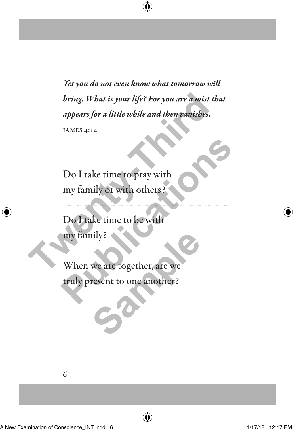*Yet you do not even know what tomorrow will bring. What is your life? For you are a mist that appears for a little while and then vanishes.*  James 4:14 bring. What is your life? For you are a mist the<br>appears for a little while and then vanishes.<br>JAMES 4:14<br>Do I take time to pray with<br>my family or with others?<br>Do I take time to be with<br>my family?<br>When we are together, are

Do I take time to pray with my family or with others?

Do I take time to be with my family?

When we are together, are we truly present to one another? **Publication**<br> **Publication**<br> **Publication**<br> **Publication**<br> **Publication**<br> **Publication**<br> **Publication**<br> **Publication**<br> **Publication**<br> **Publication**<br> **Publication**<br> **Publication**<br> **Publication**<br> **Publication**<br> **Publication** hily?<br>We are together, are we<br>resent to one another?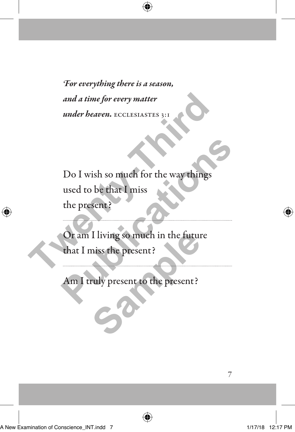*For everything there is a season, and a time for every matter under heaven.* ECCLESIASTES 3:1

Do I wish so much for the way things used to be that I miss the present? and a time for every matter<br>
under beaven. ECCLESIASTES 3:1<br>
Do I wish so much for the way things<br>
used to be that I miss<br>
the present?<br>
Or am I living so much in the future<br>
that I miss the present? Do I wish so much for the way things<br>used to be that I miss<br>the present?<br>Or am I living so much in the future<br>that I miss the present?<br>Am I truly present to the present?

Or am I living so much in the future that I miss the present? I living so much in the future<br>niss the present?<br>ruly present to the present?

 $\overline{a}$ 

Am I truly present to the present?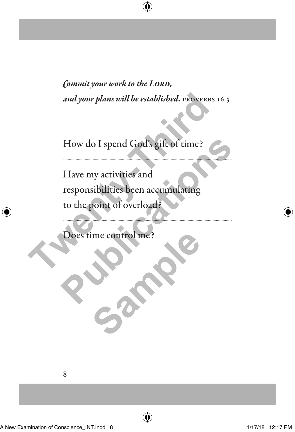*Commit your work to the LORD, and your plans will be established.* PROVERBS 16:3

How do I spend God's gift of time?

Have my activities and responsibilities been accumulating to the point of overload? and your plans will be established. PROVERBS<br>
How do I spend God's gift of time?<br>
Have my activities and<br>
responsibilities been accumulating<br>
to the point of overload?<br>
Does time control me? How do I spend God's gift of time?<br>
Have my activities and<br>
responsibilities been accumulating<br>
to the point of overload?<br>
Does time control me?<br>
Control me?

Does time control me? **Samples**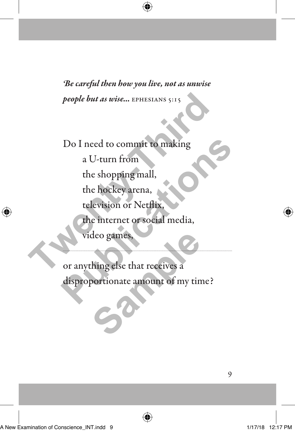*Be careful then how you live, not as unwise people but as wise...* EPHESIANS 5:15

Do I need to commit to making a U-turn from the shopping mall, the hockey arena, television or Netflix, the internet or social media, video games, people but as wise... EPHESIANS 5:15<br>
Do I need to commit to making<br>
a U-turn from<br>
the shopping mall,<br>
the hockey arena,<br>
television or Netflix.<br>
The internet or social media,<br>
video games,<br>
or anything else that receives Do I need to commit to making<br>
a U-turn from<br>
the shopping mall,<br>
the hockey arena,<br>
television or Netflix,<br>
the internet or social media,<br>
video games,<br>
or anything else that receives a<br>
disproportionate amount of my time

or anything else that receives a disproportionate amount of my time? deo games,<br>hing else that receives a<br>portionate amount of my tin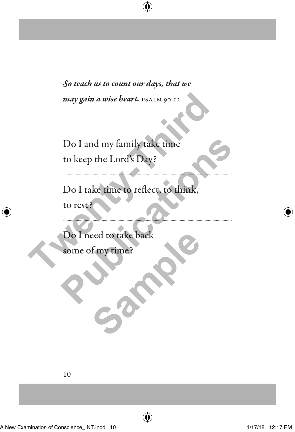*So teach us to count our days, that we may gain a wise heart.* PSALM 90:12

Do I and my family take time to keep the Lord's Day?

Do I take time to reflect, to think, to rest? may gain a wise heart. PSALM 90:12<br>
Do I and my family take time<br>
to keep the Lord's Day?<br>
Do I take time to reflect, to think,<br>
to rest?<br>
Do I need to take back<br>
some of my time? Do I and my family take time<br>to keep the Lord's Day?<br>Do I take time to reflect, to think,<br>to rest?<br>Do I need to take back<br>some of my time?

Do I need to take back some of my time? Fmytime?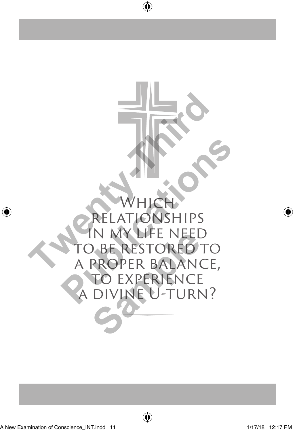